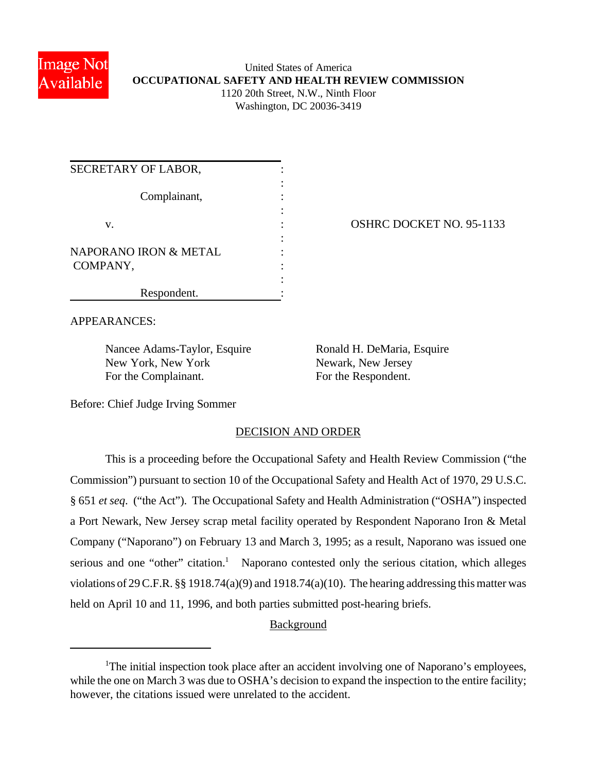

### United States of America **OCCUPATIONAL SAFETY AND HEALTH REVIEW COMMISSION** 1120 20th Street, N.W., Ninth Floor Washington, DC 20036-3419

| SECRETARY OF LABOR,              |  |
|----------------------------------|--|
| Complainant,                     |  |
| V.                               |  |
| <b>NAPORANO IRON &amp; METAL</b> |  |
| COMPANY,                         |  |
| Respondent.                      |  |

OSHRC DOCKET NO. 95-1133

APPEARANCES:

Nancee Adams-Taylor, Esquire Ronald H. DeMaria, Esquire New York, New York Newark, New Jersey For the Complainant. For the Respondent.

Before: Chief Judge Irving Sommer

## DECISION AND ORDER

This is a proceeding before the Occupational Safety and Health Review Commission ("the Commission") pursuant to section 10 of the Occupational Safety and Health Act of 1970, 29 U.S.C. § 651 *et seq*. ("the Act"). The Occupational Safety and Health Administration ("OSHA") inspected a Port Newark, New Jersey scrap metal facility operated by Respondent Naporano Iron & Metal Company ("Naporano") on February 13 and March 3, 1995; as a result, Naporano was issued one serious and one "other" citation.<sup>1</sup> Naporano contested only the serious citation, which alleges violations of 29 C.F.R. §§ 1918.74(a)(9) and 1918.74(a)(10). The hearing addressing this matter was held on April 10 and 11, 1996, and both parties submitted post-hearing briefs.

# **Background**

<sup>&</sup>lt;sup>1</sup>The initial inspection took place after an accident involving one of Naporano's employees, while the one on March 3 was due to OSHA's decision to expand the inspection to the entire facility; however, the citations issued were unrelated to the accident.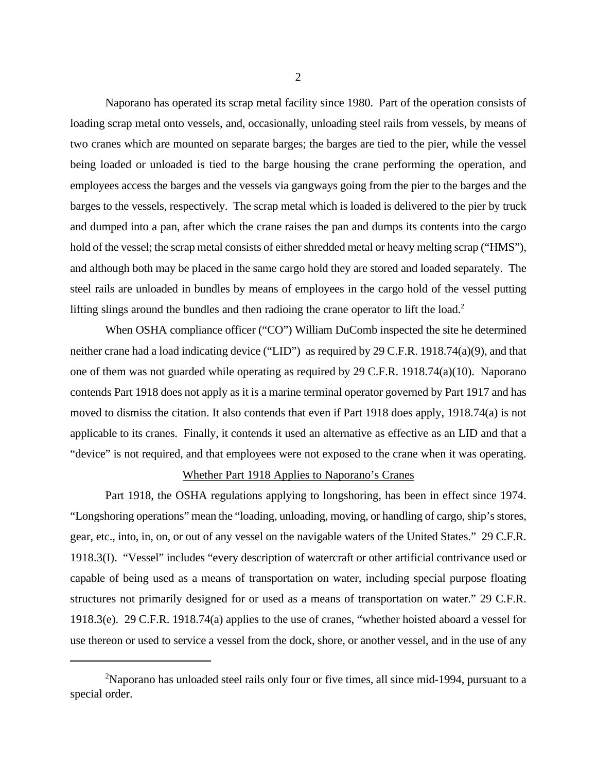Naporano has operated its scrap metal facility since 1980. Part of the operation consists of loading scrap metal onto vessels, and, occasionally, unloading steel rails from vessels, by means of two cranes which are mounted on separate barges; the barges are tied to the pier, while the vessel being loaded or unloaded is tied to the barge housing the crane performing the operation, and employees access the barges and the vessels via gangways going from the pier to the barges and the barges to the vessels, respectively. The scrap metal which is loaded is delivered to the pier by truck and dumped into a pan, after which the crane raises the pan and dumps its contents into the cargo hold of the vessel; the scrap metal consists of either shredded metal or heavy melting scrap ("HMS"), and although both may be placed in the same cargo hold they are stored and loaded separately. The steel rails are unloaded in bundles by means of employees in the cargo hold of the vessel putting lifting slings around the bundles and then radioing the crane operator to lift the load.<sup>2</sup>

When OSHA compliance officer ("CO") William DuComb inspected the site he determined neither crane had a load indicating device ("LID") as required by 29 C.F.R. 1918.74(a)(9), and that one of them was not guarded while operating as required by 29 C.F.R. 1918.74(a)(10). Naporano contends Part 1918 does not apply as it is a marine terminal operator governed by Part 1917 and has moved to dismiss the citation. It also contends that even if Part 1918 does apply, 1918.74(a) is not applicable to its cranes. Finally, it contends it used an alternative as effective as an LID and that a "device" is not required, and that employees were not exposed to the crane when it was operating.

#### Whether Part 1918 Applies to Naporano's Cranes

Part 1918, the OSHA regulations applying to longshoring, has been in effect since 1974. "Longshoring operations" mean the "loading, unloading, moving, or handling of cargo, ship's stores, gear, etc., into, in, on, or out of any vessel on the navigable waters of the United States." 29 C.F.R. 1918.3(I). "Vessel" includes "every description of watercraft or other artificial contrivance used or capable of being used as a means of transportation on water, including special purpose floating structures not primarily designed for or used as a means of transportation on water." 29 C.F.R. 1918.3(e). 29 C.F.R. 1918.74(a) applies to the use of cranes, "whether hoisted aboard a vessel for use thereon or used to service a vessel from the dock, shore, or another vessel, and in the use of any

<sup>&</sup>lt;sup>2</sup>Naporano has unloaded steel rails only four or five times, all since mid-1994, pursuant to a special order.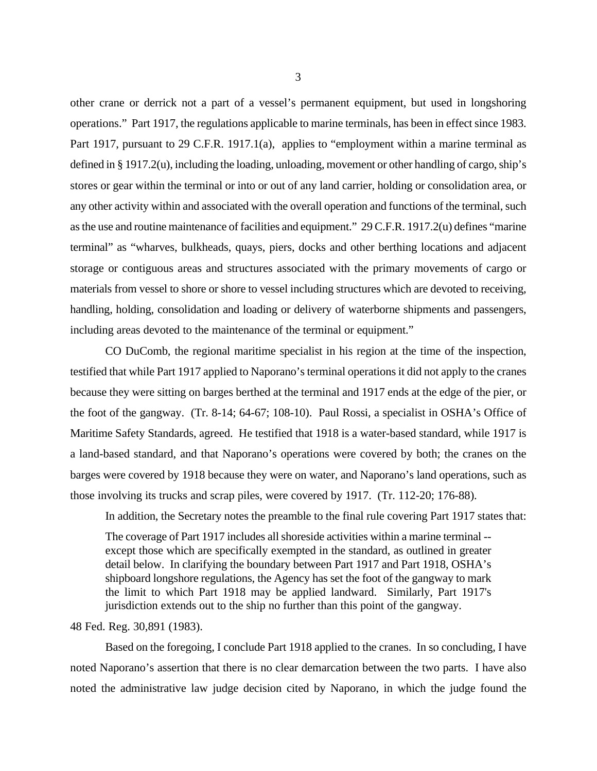other crane or derrick not a part of a vessel's permanent equipment, but used in longshoring operations." Part 1917, the regulations applicable to marine terminals, has been in effect since 1983. Part 1917, pursuant to 29 C.F.R. 1917.1(a), applies to "employment within a marine terminal as defined in § 1917.2(u), including the loading, unloading, movement or other handling of cargo, ship's stores or gear within the terminal or into or out of any land carrier, holding or consolidation area, or any other activity within and associated with the overall operation and functions of the terminal, such as the use and routine maintenance of facilities and equipment." 29 C.F.R. 1917.2(u) defines "marine terminal" as "wharves, bulkheads, quays, piers, docks and other berthing locations and adjacent storage or contiguous areas and structures associated with the primary movements of cargo or materials from vessel to shore or shore to vessel including structures which are devoted to receiving, handling, holding, consolidation and loading or delivery of waterborne shipments and passengers, including areas devoted to the maintenance of the terminal or equipment."

CO DuComb, the regional maritime specialist in his region at the time of the inspection, testified that while Part 1917 applied to Naporano's terminal operations it did not apply to the cranes because they were sitting on barges berthed at the terminal and 1917 ends at the edge of the pier, or the foot of the gangway. (Tr. 8-14; 64-67; 108-10). Paul Rossi, a specialist in OSHA's Office of Maritime Safety Standards, agreed. He testified that 1918 is a water-based standard, while 1917 is a land-based standard, and that Naporano's operations were covered by both; the cranes on the barges were covered by 1918 because they were on water, and Naporano's land operations, such as those involving its trucks and scrap piles, were covered by 1917. (Tr. 112-20; 176-88).

In addition, the Secretary notes the preamble to the final rule covering Part 1917 states that:

The coverage of Part 1917 includes all shoreside activities within a marine terminal - except those which are specifically exempted in the standard, as outlined in greater detail below. In clarifying the boundary between Part 1917 and Part 1918, OSHA's shipboard longshore regulations, the Agency has set the foot of the gangway to mark the limit to which Part 1918 may be applied landward. Similarly, Part 1917's jurisdiction extends out to the ship no further than this point of the gangway.

#### 48 Fed. Reg. 30,891 (1983).

Based on the foregoing, I conclude Part 1918 applied to the cranes. In so concluding, I have noted Naporano's assertion that there is no clear demarcation between the two parts. I have also noted the administrative law judge decision cited by Naporano, in which the judge found the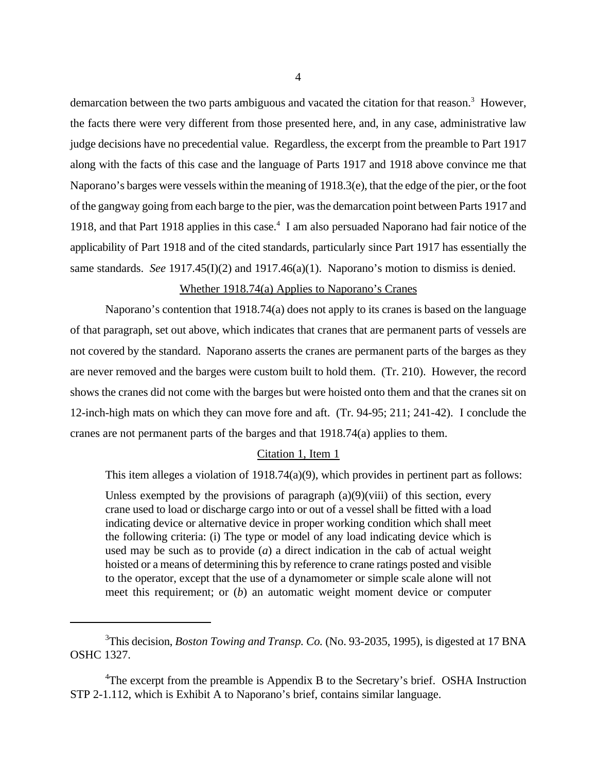demarcation between the two parts ambiguous and vacated the citation for that reason.<sup>3</sup> However, the facts there were very different from those presented here, and, in any case, administrative law judge decisions have no precedential value. Regardless, the excerpt from the preamble to Part 1917 along with the facts of this case and the language of Parts 1917 and 1918 above convince me that Naporano's barges were vessels within the meaning of 1918.3(e), that the edge of the pier, or the foot of the gangway going from each barge to the pier, was the demarcation point between Parts 1917 and 1918, and that Part 1918 applies in this case.<sup>4</sup> I am also persuaded Naporano had fair notice of the applicability of Part 1918 and of the cited standards, particularly since Part 1917 has essentially the same standards. *See* 1917.45(I)(2) and 1917.46(a)(1). Naporano's motion to dismiss is denied.

### Whether 1918.74(a) Applies to Naporano's Cranes

Naporano's contention that 1918.74(a) does not apply to its cranes is based on the language of that paragraph, set out above, which indicates that cranes that are permanent parts of vessels are not covered by the standard. Naporano asserts the cranes are permanent parts of the barges as they are never removed and the barges were custom built to hold them. (Tr. 210). However, the record shows the cranes did not come with the barges but were hoisted onto them and that the cranes sit on 12-inch-high mats on which they can move fore and aft. (Tr. 94-95; 211; 241-42). I conclude the cranes are not permanent parts of the barges and that 1918.74(a) applies to them.

#### Citation 1, Item 1

This item alleges a violation of 1918.74(a)(9), which provides in pertinent part as follows:

Unless exempted by the provisions of paragraph  $(a)(9)(viii)$  of this section, every crane used to load or discharge cargo into or out of a vessel shall be fitted with a load indicating device or alternative device in proper working condition which shall meet the following criteria: (i) The type or model of any load indicating device which is used may be such as to provide (*a*) a direct indication in the cab of actual weight hoisted or a means of determining this by reference to crane ratings posted and visible to the operator, except that the use of a dynamometer or simple scale alone will not meet this requirement; or (*b*) an automatic weight moment device or computer

<sup>3</sup>This decision, *Boston Towing and Transp. Co.* (No. 93-2035, 1995), is digested at 17 BNA OSHC 1327.

<sup>&</sup>lt;sup>4</sup>The excerpt from the preamble is Appendix B to the Secretary's brief. OSHA Instruction STP 2-1.112, which is Exhibit A to Naporano's brief, contains similar language.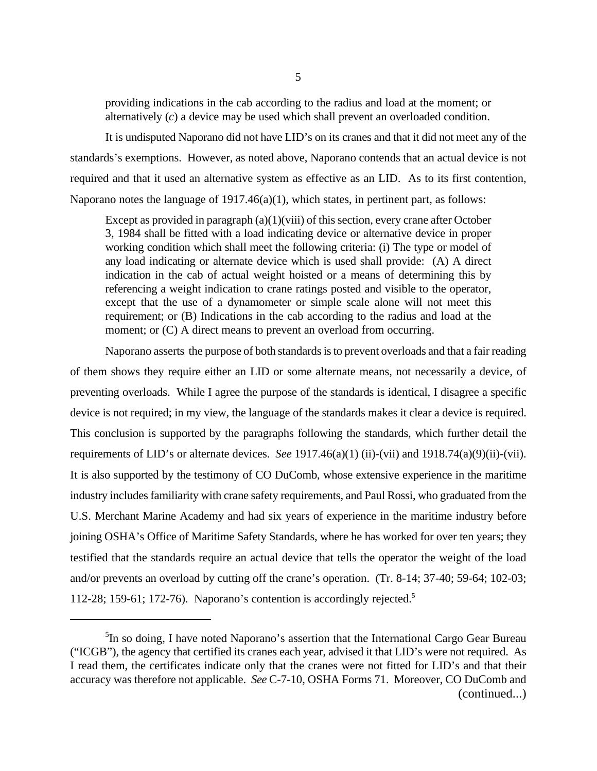providing indications in the cab according to the radius and load at the moment; or alternatively (*c*) a device may be used which shall prevent an overloaded condition.

It is undisputed Naporano did not have LID's on its cranes and that it did not meet any of the standards's exemptions. However, as noted above, Naporano contends that an actual device is not required and that it used an alternative system as effective as an LID. As to its first contention, Naporano notes the language of  $1917.46(a)(1)$ , which states, in pertinent part, as follows:

Except as provided in paragraph  $(a)(1)(viii)$  of this section, every crane after October 3, 1984 shall be fitted with a load indicating device or alternative device in proper working condition which shall meet the following criteria: (i) The type or model of any load indicating or alternate device which is used shall provide: (A) A direct indication in the cab of actual weight hoisted or a means of determining this by referencing a weight indication to crane ratings posted and visible to the operator, except that the use of a dynamometer or simple scale alone will not meet this requirement; or (B) Indications in the cab according to the radius and load at the moment; or  $(C)$  A direct means to prevent an overload from occurring.

Naporano asserts the purpose of both standards is to prevent overloads and that a fair reading of them shows they require either an LID or some alternate means, not necessarily a device, of preventing overloads. While I agree the purpose of the standards is identical, I disagree a specific device is not required; in my view, the language of the standards makes it clear a device is required. This conclusion is supported by the paragraphs following the standards, which further detail the requirements of LID's or alternate devices. *See* 1917.46(a)(1) (ii)-(vii) and 1918.74(a)(9)(ii)-(vii). It is also supported by the testimony of CO DuComb, whose extensive experience in the maritime industry includes familiarity with crane safety requirements, and Paul Rossi, who graduated from the U.S. Merchant Marine Academy and had six years of experience in the maritime industry before joining OSHA's Office of Maritime Safety Standards, where he has worked for over ten years; they testified that the standards require an actual device that tells the operator the weight of the load and/or prevents an overload by cutting off the crane's operation. (Tr. 8-14; 37-40; 59-64; 102-03; 112-28; 159-61; 172-76). Naporano's contention is accordingly rejected.<sup>5</sup>

<sup>&</sup>lt;sup>5</sup>In so doing, I have noted Naporano's assertion that the International Cargo Gear Bureau ("ICGB"), the agency that certified its cranes each year, advised it that LID's were not required. As I read them, the certificates indicate only that the cranes were not fitted for LID's and that their accuracy was therefore not applicable. *See* C-7-10, OSHA Forms 71. Moreover, CO DuComb and (continued...)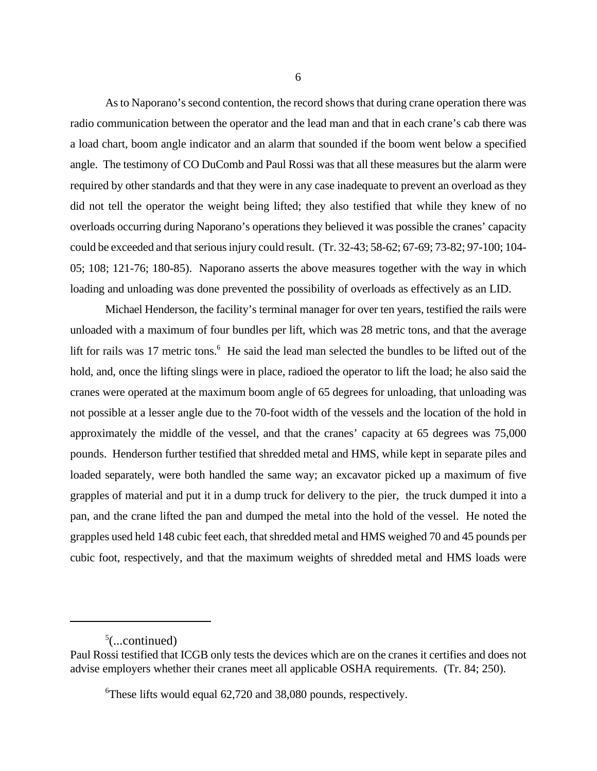As to Naporano's second contention, the record shows that during crane operation there was radio communication between the operator and the lead man and that in each crane's cab there was a load chart, boom angle indicator and an alarm that sounded if the boom went below a specified angle. The testimony of CO DuComb and Paul Rossi was that all these measures but the alarm were required by other standards and that they were in any case inadequate to prevent an overload as they did not tell the operator the weight being lifted; they also testified that while they knew of no overloads occurring during Naporano's operations they believed it was possible the cranes' capacity could be exceeded and that serious injury could result. (Tr. 32-43; 58-62; 67-69; 73-82; 97-100; 104- 05; 108; 121-76; 180-85). Naporano asserts the above measures together with the way in which loading and unloading was done prevented the possibility of overloads as effectively as an LID.

Michael Henderson, the facility's terminal manager for over ten years, testified the rails were unloaded with a maximum of four bundles per lift, which was 28 metric tons, and that the average lift for rails was 17 metric tons.<sup>6</sup> He said the lead man selected the bundles to be lifted out of the hold, and, once the lifting slings were in place, radioed the operator to lift the load; he also said the cranes were operated at the maximum boom angle of 65 degrees for unloading, that unloading was not possible at a lesser angle due to the 70-foot width of the vessels and the location of the hold in approximately the middle of the vessel, and that the cranes' capacity at 65 degrees was 75,000 pounds. Henderson further testified that shredded metal and HMS, while kept in separate piles and loaded separately, were both handled the same way; an excavator picked up a maximum of five grapples of material and put it in a dump truck for delivery to the pier, the truck dumped it into a pan, and the crane lifted the pan and dumped the metal into the hold of the vessel. He noted the grapples used held 148 cubic feet each, that shredded metal and HMS weighed 70 and 45 pounds per cubic foot, respectively, and that the maximum weights of shredded metal and HMS loads were

 $5$ (...continued)

Paul Rossi testified that ICGB only tests the devices which are on the cranes it certifies and does not advise employers whether their cranes meet all applicable OSHA requirements. (Tr. 84; 250).

<sup>6</sup>These lifts would equal 62,720 and 38,080 pounds, respectively.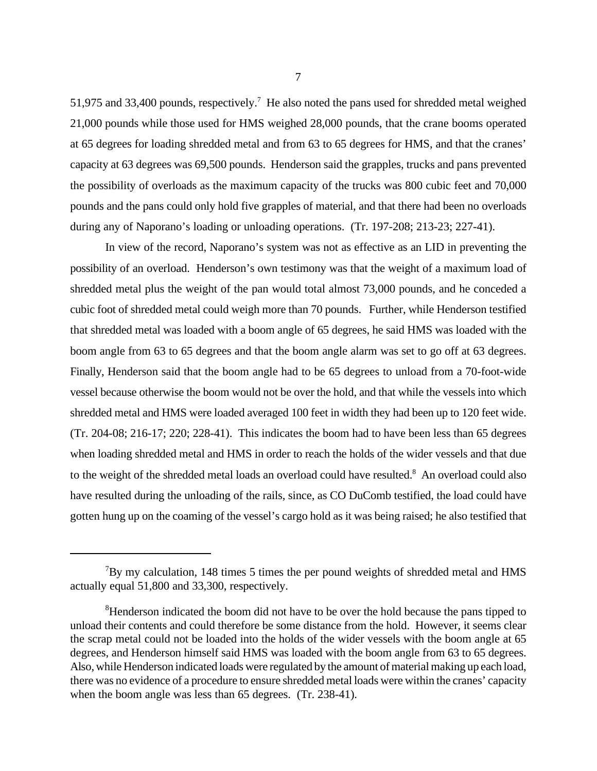51,975 and 33,400 pounds, respectively.<sup>7</sup> He also noted the pans used for shredded metal weighed 21,000 pounds while those used for HMS weighed 28,000 pounds, that the crane booms operated at 65 degrees for loading shredded metal and from 63 to 65 degrees for HMS, and that the cranes' capacity at 63 degrees was 69,500 pounds. Henderson said the grapples, trucks and pans prevented the possibility of overloads as the maximum capacity of the trucks was 800 cubic feet and 70,000 pounds and the pans could only hold five grapples of material, and that there had been no overloads during any of Naporano's loading or unloading operations. (Tr. 197-208; 213-23; 227-41).

In view of the record, Naporano's system was not as effective as an LID in preventing the possibility of an overload. Henderson's own testimony was that the weight of a maximum load of shredded metal plus the weight of the pan would total almost 73,000 pounds, and he conceded a cubic foot of shredded metal could weigh more than 70 pounds. Further, while Henderson testified that shredded metal was loaded with a boom angle of 65 degrees, he said HMS was loaded with the boom angle from 63 to 65 degrees and that the boom angle alarm was set to go off at 63 degrees. Finally, Henderson said that the boom angle had to be 65 degrees to unload from a 70-foot-wide vessel because otherwise the boom would not be over the hold, and that while the vessels into which shredded metal and HMS were loaded averaged 100 feet in width they had been up to 120 feet wide. (Tr. 204-08; 216-17; 220; 228-41). This indicates the boom had to have been less than 65 degrees when loading shredded metal and HMS in order to reach the holds of the wider vessels and that due to the weight of the shredded metal loads an overload could have resulted.<sup>8</sup> An overload could also have resulted during the unloading of the rails, since, as CO DuComb testified, the load could have gotten hung up on the coaming of the vessel's cargo hold as it was being raised; he also testified that

 $7By$  my calculation, 148 times 5 times the per pound weights of shredded metal and HMS actually equal 51,800 and 33,300, respectively.

<sup>&</sup>lt;sup>8</sup>Henderson indicated the boom did not have to be over the hold because the pans tipped to unload their contents and could therefore be some distance from the hold. However, it seems clear the scrap metal could not be loaded into the holds of the wider vessels with the boom angle at 65 degrees, and Henderson himself said HMS was loaded with the boom angle from 63 to 65 degrees. Also, while Henderson indicated loads were regulated by the amount of material making up each load, there was no evidence of a procedure to ensure shredded metal loads were within the cranes' capacity when the boom angle was less than 65 degrees. (Tr. 238-41).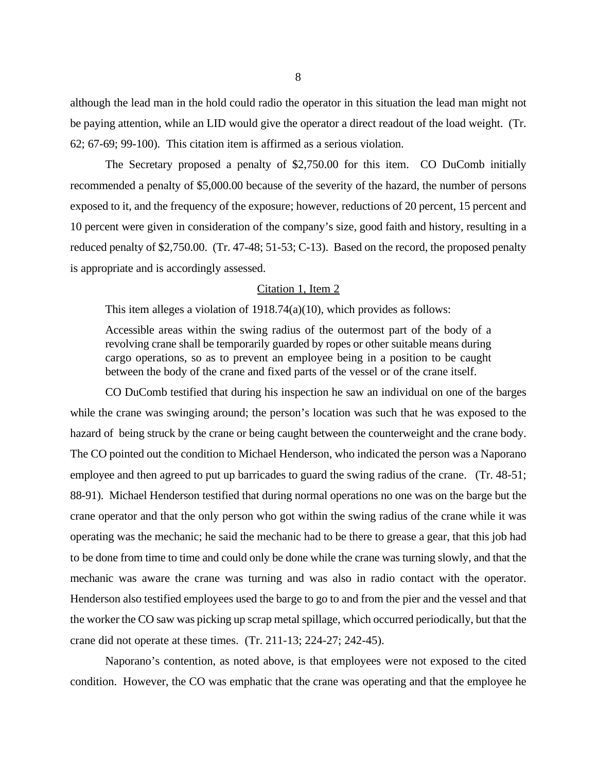although the lead man in the hold could radio the operator in this situation the lead man might not be paying attention, while an LID would give the operator a direct readout of the load weight. (Tr. 62; 67-69; 99-100). This citation item is affirmed as a serious violation.

The Secretary proposed a penalty of \$2,750.00 for this item. CO DuComb initially recommended a penalty of \$5,000.00 because of the severity of the hazard, the number of persons exposed to it, and the frequency of the exposure; however, reductions of 20 percent, 15 percent and 10 percent were given in consideration of the company's size, good faith and history, resulting in a reduced penalty of \$2,750.00. (Tr. 47-48; 51-53; C-13). Based on the record, the proposed penalty is appropriate and is accordingly assessed.

#### Citation 1, Item 2

This item alleges a violation of 1918.74(a)(10), which provides as follows:

Accessible areas within the swing radius of the outermost part of the body of a revolving crane shall be temporarily guarded by ropes or other suitable means during cargo operations, so as to prevent an employee being in a position to be caught between the body of the crane and fixed parts of the vessel or of the crane itself.

CO DuComb testified that during his inspection he saw an individual on one of the barges while the crane was swinging around; the person's location was such that he was exposed to the hazard of being struck by the crane or being caught between the counterweight and the crane body. The CO pointed out the condition to Michael Henderson, who indicated the person was a Naporano employee and then agreed to put up barricades to guard the swing radius of the crane. (Tr. 48-51; 88-91). Michael Henderson testified that during normal operations no one was on the barge but the crane operator and that the only person who got within the swing radius of the crane while it was operating was the mechanic; he said the mechanic had to be there to grease a gear, that this job had to be done from time to time and could only be done while the crane was turning slowly, and that the mechanic was aware the crane was turning and was also in radio contact with the operator. Henderson also testified employees used the barge to go to and from the pier and the vessel and that the worker the CO saw was picking up scrap metal spillage, which occurred periodically, but that the crane did not operate at these times. (Tr. 211-13; 224-27; 242-45).

Naporano's contention, as noted above, is that employees were not exposed to the cited condition. However, the CO was emphatic that the crane was operating and that the employee he